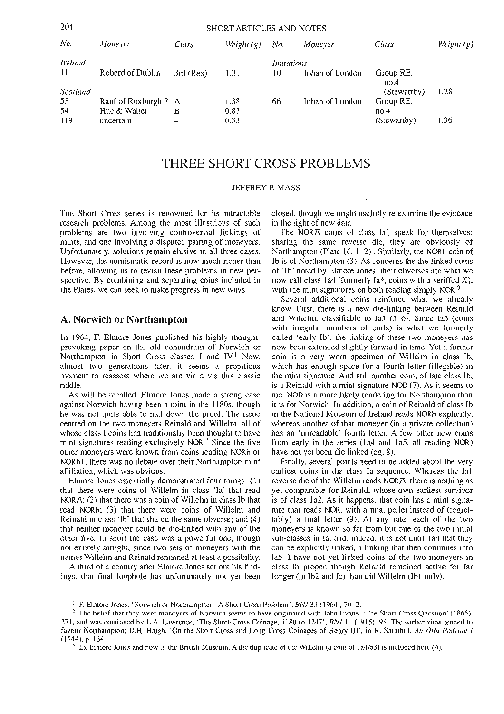| 49 Z<br>SHOKT ARTICLES AND NOTES |                     |             |              |            |                 |                   |              |
|----------------------------------|---------------------|-------------|--------------|------------|-----------------|-------------------|--------------|
| No.                              | Moneyer             | Class       | Weight $(g)$ | No.        | Moneyer         | Class             | Weight $(g)$ |
| <b>Ireland</b>                   |                     |             |              | Imitations |                 |                   |              |
| 11                               | Roberd of Dublin    | $3rd$ (Rex) | 1.31         | 10         | Johan of London | Group RE,<br>no.4 |              |
| Scotland                         |                     |             |              |            |                 | (Stewartby)       | 1.28         |
| -53                              | Rauf of Roxburgh? A |             | 1.38         | 66         | Iohan of London | Group RE,         |              |
| 54                               | Hue & Walter        | в           | 0.87         |            |                 | no.4              |              |
| U <sub>19</sub>                  | uncertain           |             | 0.33         |            |                 | (Stewartby)       | 1.36         |
|                                  |                     |             |              |            |                 |                   |              |

# THREE SHORT CROSS PROBLEMS

#### **JEFFREY P. MASS**

THE Short Cross series is renowned for its intractable **research problems. Among the most illustrious of such problems are two involving controversial linkings of mints, and one involving a disputed pairing of moneyers. Unfortunately, solutions remain elusive in all three cases. However, the numismatic record is now much richer than before, allowing us to revisit these problems in new perspective. By combining and separating coins included in the Plates, we can seek to make progress in new ways.** 

## **A. Norwich or Northampton**

**In 1964, F. Elmore Jones published his highly thoughtprovoking paper on the old conundrum of Norwich or Northampton in Short Cross classes I and IV.<sup>1</sup> Now, almost two generations later, it seems a propitious moment to reassess where we are vis a vis this classic riddle.** 

**As will be recalled, Elmore Jones made a strong case against Norwich having been a mint in the 1180s, though he was not quite able to nail down the proof. The issue centred on the two moneyers Reinald and Willelm, all of whose class I coins had traditionally been thought to have mint signatures reading exclusively NOR.<sup>2</sup> Since the five other moneyers were known from coins reading NORh or NORhT, there was no debate over their Northampton mint affiliation, which was obvious.** 

**Elmore Jones essentially demonstrated four things: (1) that there were coins of Willelm in class 'la' that read NORA; (2) that there was a coin of Willelm in class lb that read NORh; (3) that there were coins of Willelm and Reinald in class 'lb' that shared the same obverse; and (4) that neither moneyer could be die-linked with any of the other five. In short the case was a powerful one, though not entirely airtight, since two sets of moneyers with the names Willelm and Reinald remained at least a possibility.** 

**A third of a century after Elmore Jones set out his findings, that final loophole has unfortunately not yet been**  **closed, though we might usefully re-examine the evidence in the light of new data.** 

**The NORA coins of class Ial speak for themselves; sharing the same reverse die, they are obviously of Northampton (Plate 16, 1-2). Similarly, the NORh coin of lb is of Northampton (3). As concerns the die-linked coins of 'lb' noted by Elmore Jones, their obverses are what we now call class la4 (formerly la\*, coins with a seriffed X), with the mint signatures on both reading simply NOR.3** 

**Several additional coins reinforce what we already know. First, there is a new die-linking between Reinald and Willelm, classifiable to Ia5 (5-6). Since Ia5 (coins with irregular numbers of curls) is what we formerly called 'early lb', the linking of these two moneyers has now been extended slightly forward in time. Yet a further coin is a very worn specimen of Willelm in class lb, which has enough space for a fourth letter (illegible) in the mint signature. And still another coin, of late class lb, is a Reinald with a mint signature NOD (7). As it seems to me, NOD is a more likely rendering for Northampton than it is for Norwich. In addition, a coin of Reinald of class lb in the National Museum of Ireland reads NORh explicitly, whereas another of that moneyer (in a private collection) has an 'unreadable' fourth letter. A few other new coins from early in the series (la4 and la5, all reading NOR) have not yet been die linked (eg, 8).** 

**Finally, several points need to be added about the very earliest coins in the class la sequence. Whereas the Ial reverse die of the Willelm reads NORA, there is nothing as yet comparable for Reinald, whose own earliest survivor is of class la2. As it happens, that coin has a mint signature that reads NOR. with a final pellet instead of (regrettably) a final letter (9). At any rate, each of the two moneyers is known so far from but one of the two initial sub-classes in la, and, indeed, it is not until la4 that they can be explicitly linked, a linking that then continues into la5. I have not yet linked coins of the two moneyers in class lb proper, though Reinald remained active for fatlonger (in Ib2 and Ic) than did Willelm (Ibl only).** 

<sup>1</sup> E. Elmore Jones, 'Norwich or Northampton – A Short Cross Problem'. *BNJ* 33 (1964), 70–2.<br><sup>2</sup> The belief that they were moneyers of Norwich seems to have originated with John Evans, 'The Short-Cross Question' (1865), favour Northampton; D.H. Haigh, 'On the Short Cross and Long Cross Coinages of Henry III', in R. Sainthill. *An Olla Podrida I* 

 $\frac{1}{2}$  Ex Elmore Jones and now in the British Museum. A die duplicate of the Willelm (a coin of 1a4/a3) is included here (4).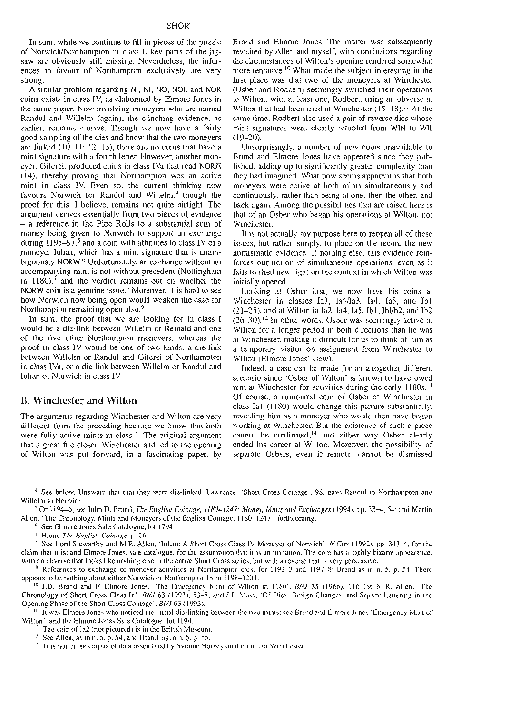**In sum, while we continue to fill in pieces of the puzzle of Norwich/Northampton in class I, key parts of the jigsaw are obviously still missing. Nevertheless, the inferences in favour of Northampton exclusively are very strong.** 

**A similar problem regarding N:, NI, NO. NOI, and NOR coins exists in class IV, as elaborated by Elmore Jones in the same paper. Now involving moneyers who are named Randul and Willelm (again), the clinching evidence, as earlier, remains elusive. Though we now have a fairly good sampling of the dies and know that the two moneyers are linked (10-11; 12-13), there are no coins that have a mint signature with a fourth letter. However, another moneyer, Giferei, produced coins in class IVa that read NORA (14), thereby proving that Northampton was an active mint in class IV. Even so, the current thinking now favours Norwich for Randul and Willelm,<sup>4</sup> though the proof for this, I believe, remains not quite airtight. The argument derives essentially from two pieces of evidence - a reference in the Pipe Rolls to a substantial sum of money being given to Norwich to support an exchange during 1195-97,<sup>5</sup> and a coin with affinities to class IV of a moneyer Iohan, which has a mint signature that is unambiguously NORW.<sup>6</sup> Unfortunately, an exchange without an accompanying mint is not without precedent (Nottingham in 1180),<sup>7</sup> and the verdict remains out on whether the NORW coin is a genuine issue.<sup>8</sup> Moreover, it is hard to see how Norwich now being open would weaken the case for Northampton remaining open also.<sup>9</sup>**

**In sum, the proof that we are looking for in class I would be a die-link between Willelm or Reinald and one of the five other Northampton moneyers, whereas the proof in class IV would be one of two kinds: a die-link between Willelm or Randul and Giferei of Northampton in class IVa, or a die link between Willelm or Randul and Iohan of Norwich in class IV.** 

## **B. Winchester and Wilton**

**The arguments regarding Winchester and Wilton are very different from the preceding because we know that both were fully active mints in class I. The original argument that a great fire closed Winchester and led to the opening of Wilton was put forward, in a fascinating paper, by** 

SHOR<br>es of the puzzle Brand and Elmore Jones. The matter was subsequently **revisited by Allen and myself, with conclusions regarding the circumstances of Wilton's opening rendered somewhat more tentative.<sup>10</sup> What made the subject interesting in the first place was that two of the moneyers at Winchester (Osber and Rodbert) seemingly switched their operations to Wilton, with at least one, Rodbert, using an obverse at Wilton that had been used at Winchester (15-18)." At the same time, Rodbert also used a pair of reverse dies whose mint signatures were clearly retooled from WIN to W1L (19-20).** 

> **Unsurprisingly, a number of new coins unavailable to Brand and Elmore Jones have appeared since they published, adding up to significantly greater complexity than they had imagined. What now seems apparent is that both moneyers were active at both mints simultaneously and continuously, rather than being at one, then the other, and back again. Among the possibilities that are raised here is that of an Osber who began his operations at Wilton, not Winchester.**

> **It is not actually my purpose here to reopen all of these issues, but rather, simply, to place on the record the new numismatic evidence. If nothing else, this evidence reinforces our notion of simultaneous operations, even as it fails to shed new light on the context in which Wilton was initially opened.**

**Looking at Osber first, we now have his coins at Winchester in classes Ia3, Ia4/Ia3, Ia4, Ia5, and Ibl (21-25), and at Wilton in Ia2, Ia4, Ia5, Ibl, Ibl/b2, and Ib2 (26-30).<sup>12</sup> In other words, Osber was seemingly active at Wilton for a longer period in both directions than he was at Winchester, making it difficult for us to think of him as a temporary visitor on assignment from Winchester to Wilton (Elmore Jones' view).** 

**Indeed, a case can be made for an altogether different scenario since 'Osber of Wilton' is known to have owed rent at Winchester for activities during the early 1180s.<sup>13</sup> Of course, a rumoured coin of Osber at Winchester in class Ial (1180) would change this picture substantially, revealing him as a moneyer who would then have begun working at Winchester. But the existence of such a piece cannot be confirmed,14 and either way Osber clearly ended his career at Wilton. Moreover, the possibility of separate Osbers, even if remote, cannot be dismissed** 

4 See below. Unaware that that they were die-linked, Lawrence, 'Short Cross Coinage', 98, gave Randul to Northampton and

<sup>5</sup> Or 1194–6; see John D. Brand, *The English Coinage, 1180–1247: Money, Mints and Exchanges* (1994), pp. 33–4, 54; and Martin Allen, 'The Chronology, Mints and Moneyers of the English Coinage, 1180–1247', forthcoming.

<sup>6</sup> See Elmore Jones Sale Catalogue, 1ot 1794.<br><sup>7</sup> Brand *The English Coinage*, p 26.<br><sup>8</sup> See Lord Stewartby and M.R. Allen, 'lohan: A Short Cross Class IV Moneyer of Norwich', *N.Circ* (1992), pp. 343–4, for the scanners

with an obverse that looks like nothing clse in the entire Short Cross series, but with a reverse that is very persuasive.<br><sup>9</sup> References to exchange or moneyer activities at Northampton exist for 1192-3 and 1197-8; Brand

<sup>10</sup> J.D. Brand and F. Elmore Jones, 'The Emergency Mint of Wilton in 1180'. BNJ 35 (1966). 116-19; M.R. Allen, 'The Chronology of Short Cross Class la', *BNJ* 63 (1993), 53-8; and J.P. Mass, 'Of Dies, Design Changes, and Square Lettering in the

<sup>11</sup> It was Elmore Jones who noticed the initial die-linking between the two mints; see Brand and Elmore Jones 'Emergency Mint of Wilton'; and the Elmore Jones Sale Catalogue, lot 1194.

<sup>12</sup> The coin of Ia2 (not pictured) is in the Brittsh Museum.<br><sup>13</sup> Sec Allen, as in n. 5, p. 54; and Brand, as in n. 5, p. 55.<br><sup>14</sup> It is not in the corpus of data assembled by Yvoune Harvey on the mint of Winchester.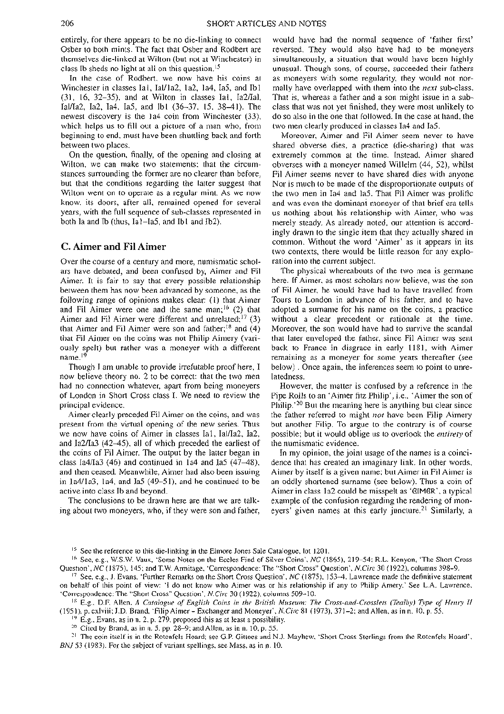**entirely, for there appears to be no die-linking to connect Osber to both mints. The fact that Osber and Rodbert are themselves die-linked at Wilton (but not at Winchester) in class lb sheds no light at all on this question.<sup>15</sup>**

**In the case of Rodbert, we now have his coins at Winchester in classes Ial, Ial/la2, la2, la4, Ia5, and Ibl (31, 16, 32-35), and at Wilton in classes Ial, Ia2/Ial, Ial/Ia2, Ia2, Ia4, Ia5, and Ibl (36-37, 15, 38^11). The newest discovery is the la4 coin from Winchester (33), which helps us to fill out a picture of a man who, from beginning to end, must have been shuttling back and forth between two places.** 

**On the question, finally, of the opening and closing at Wilton, we can make two statements: that the circumstances surrounding the former are no clearer than before, but that the conditions regarding the latter suggest that Wilton went on to operate as a regular mint. As we now know, its doors, after all, remained opened for several years, with the full sequence of sub-classes represented in both la and lb (thus, Ial-Ia5, and Ibl and Ib2).** 

## **C. Aimer and Fil Aimer**

**Over the course of a century and more, numismatic scholars have debated, and been confused by, Aimer and Fil Aimer. It is fair to say that every possible relationship between them has now been advanced by someone, as the following range of opinions makes clear: (1) that Aimer and Fil Aimer were one and the same man;<sup>16</sup> (2) that Aimer and Fil Aimer were different and unrelated;<sup>17</sup> (3) that Aimer and Fil Aimer were son and father;18 and (4) that Fil Aimer on the coins was not Philip Aimery (variously spelt) but rather was a moneyer with a different name.<sup>19</sup>**

**Though I am unable to provide irrefutable proof here, I now believe theory no. 2 to be correct: that the two men had no connection whatever, apart from being moneyers of London in Short Cross class I. We need to review the principal evidence.** 

**Aimer clearly preceded Fil Aimer on the coins, and was present from the virtual opening of the new series. Thus we now have coins of Aimer in classes Ial, Ial/Ia2, Ia2, and Ia2/Ia3 (42-45), all of which preceded the earliest of the coins of Fil Aimer. The output by the latter began in class Ia4/Ia3 (46) and continued in la4 and Ia5 (47^18), and then ceased. Meanwhile, Aimer had also been issuing in Ia4/la3, la4, and Ia5 (49-51), and he continued to be active into class lb and beyond.** 

The conclusions to be drawn here are that we are talk**ing about two moneyers, who, if they were son and father,**  **would have had the normal sequence of 'father first' reversed. They would also have had to be moneyers simultaneously, a situation that would have been highly unusual. Though sons, of course, succeeded their fathers as moneyers with some regularity, they would not normally have overlapped with them into the** *next* **sub-class. That is, whereas a father and a son might issue in a subclass that was not yet finished, they were most unlikely to do so also in the one that followed. In the case at hand, the two men clearly produced in classes Ia4 and Ia5.** 

**Moreover, Aimer and Fil Aimer seem never to have shared obverse dies, a practice (die-sharing) that was extremely common at the time. Instead, Aimer shared obverses with a moneyer named Willelm (44, 52), whilst Fil Aimer seems never to have shared dies with anyone Nor is much to be made of the disproportionate outputs of the two men in Ia4 and Ia5. That Fil Aimer was prolific and was even the dominant moneyer of that brief era tells us nothing about his relationship with Aimer, who was merely steady. As already noted, our attention is accordingly drawn to the single item that they actually shared in common. Without the word 'Aimer' as it appears in its two contexts, there would be little reason for any exploration into the current subject.** 

**The physical whereabouts of the two men is germane here. If Aimer, as most scholars now believe, was the son of Fil Aimer, he would have had to have travelled from Tours to London in advance of his father, and to have adopted a surname for his name on the coins, a practice without a clear precedent or rationale at the time. Moreover, the son would have had to survive the scandal that later enveloped the father, since Fil Aimer was sent back to France in disgrace in early 1181, with Aimer remaining as a moneyer for some years thereafter (see below) . Once again, the inferences seem to point to unrelatedness.** 

**However, the matter is confused by a reference in the Pipe Rolls to an 'Aimer fitz Philip', i.e., 'Aimer the son of Philip.'<sup>20</sup> But the meaning here is anything but clear since the father referred to might** *not* **have been Filip Aimery but another Filip. To argue to the contrary is of course possible; but it would oblige us to overlook the** *entirety* **of the numismatic evidence.** 

**In my opinion, the joint usage of the names is a coincidence that has created an imaginary link. In other words, Aimer by itself is a given name; but Aimer in Fil Aimer is an oddly shortened surname (see below). Thus a coin of Aimer in class la2 could be misspelt as '8IM8R.', a typical example of the confusion regarding the rendering of moneyers' given names at this early juncture.<sup>21</sup> Similarly, a** 

<sup>15</sup> See the reference to this die-linking in the Elmore Jones Sale Catalogue, lot 1201.<br><sup>16</sup> See, e.g., W.S.W. Vaux, 'Some Notes on the Eccles Find of Silver Coins', *NC* (1865), 219–54; R.L. Kenyon, 'The Short Cross<br>Ques

<sup>17</sup> See, e.g., J. Evans, 'Further Remarks on the Short Cross Question', NC (1875), 153-4. Lawrence made the definitive statement

on behalf of this point of view: 'I do not know who Aimer was or his relationship if any to Philip Amery,' See L.A. Lawrence, 'Correspondence: The "Short Cross" Question", *N.Circ* 30 (1922), columns 509–10.<br><sup>18</sup> E.g., D.F

<sup>19</sup> E.g., Evans, as in n. 2, p. 279, proposed this as at least a possibility.<br><sup>20</sup> Cited by Brand, as in n. 5, pp. 28–9; and Allen, as in n. 10, p. 55.<br><sup>21</sup> The coin itself is in the Rotenfels Hoard; see G.P. Gittoes and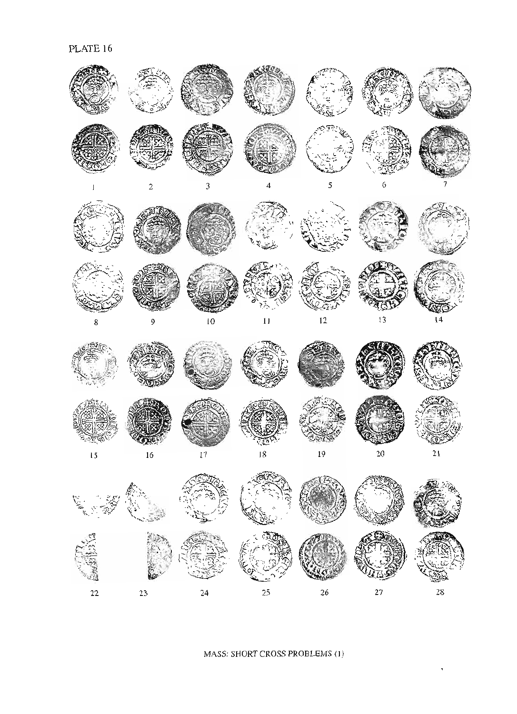







MASS: SHORT CROSS PROBLEMS (1)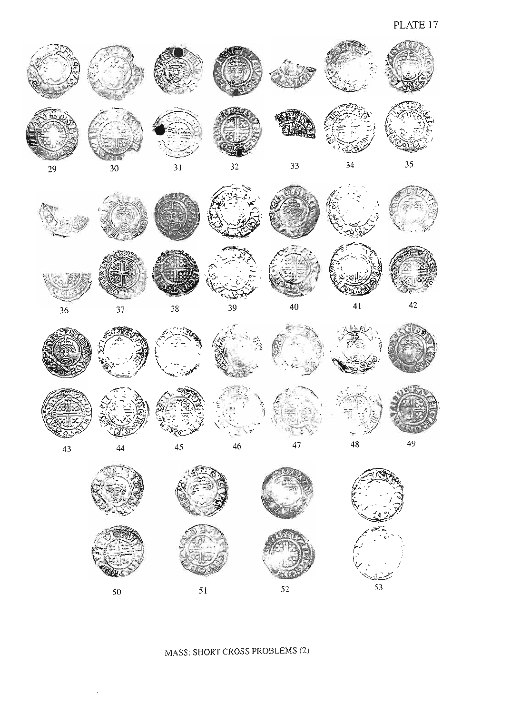53



MASS: SHORT CROSS PROBLEMS (2)

 $51$ 

 $50^{\circ}$ 

 $52$